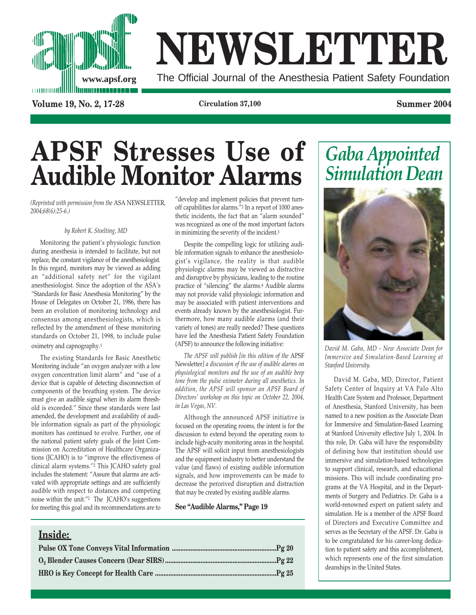

# **NEWSLETTER**

The Official Journal of the Anesthesia Patient Safety Foundation

**Volume 19, No. 2, 17-28 Circulation 37,100 Summer 2004**

## **APSF Stresses Use of**  $\overline{\text{Audible}}$  **Monitor Alarms**

*(Reprinted with permission from the* ASA NEWSLETTER*, 2004;68(6):25-6.)* 

#### *by Robert K. Stoelting, MD*

Monitoring the patient's physiologic function during anesthesia is intended to facilitate, but not replace, the constant vigilance of the anesthesiologist. In this regard, monitors may be viewed as adding an "additional safety net" for the vigilant anesthesiologist. Since the adoption of the ASA's "Standards for Basic Anesthesia Monitoring" by the House of Delegates on October 21, 1986, there has been an evolution of monitoring technology and consensus among anesthesiologists, which is reflected by the amendment of these monitoring standards on October 21, 1998, to include pulse oximetry and capnography.1

The existing Standards for Basic Anesthetic Monitoring include "an oxygen analyzer with a low oxygen concentration limit alarm" and "use of a device that is capable of detecting disconnection of components of the breathing system. The device must give an audible signal when its alarm threshold is exceeded." Since these standards were last amended, the development and availability of audible information signals as part of the physiologic monitors has continued to evolve. Further, one of the national patient safety goals of the Joint Commission on Accreditation of Healthcare Organizations (JCAHO) is to "improve the effectiveness of clinical alarm systems."2 This JCAHO safety goal includes the statement: "Assure that alarms are activated with appropriate settings and are sufficiently audible with respect to distances and competing noise within the unit."2 The JCAHO's suggestions for meeting this goal and its recommendations are to

"develop and implement policies that prevent turnoff capabilities for alarms."2 In a report of 1000 anesthetic incidents, the fact that an "alarm sounded" was recognized as one of the most important factors in minimizing the severity of the incident.3

Despite the compelling logic for utilizing audible information signals to enhance the anesthesiologist's vigilance, the reality is that audible physiologic alarms may be viewed as distractive and disruptive by physicians, leading to the routine practice of "silencing" the alarms.4 Audible alarms may not provide valid physiologic information and may be associated with patient interventions and events already known by the anesthesiologist. Furthermore, how many audible alarms (and their variety of tones) are really needed? These questions have led the Anesthesia Patient Safety Foundation (APSF) to announce the following initiative:

*The APSF will publish [in this edition of the* APSF Newsletter*] a discussion of the use of audible alarms on physiological monitors and the use of an audible beep tone from the pulse oximeter during all anesthetics. In addition, the APSF will sponsor an APSF Board of Directors' workshop on this topic on October 22, 2004, in Las Vegas, NV.*

Although the announced APSF initiative is focused on the operating rooms, the intent is for the discussion to extend beyond the operating room to include high-acuity monitoring areas in the hospital. The APSF will solicit input from anesthesiologists and the equipment industry to better understand the value (and flaws) of existing audible information signals, and how improvements can be made to decrease the perceived disruption and distraction that may be created by existing audible alarms.

#### **See "Audible Alarms," Page 19**

#### **Inside:**





*David M. Gaba, MD - New Associate Dean for Immersive and Simulation-Based Learning at Stanford University.*

David M. Gaba, MD, Director, Patient Safety Center of Inquiry at VA Palo Alto Health Care System and Professor, Department of Anesthesia, Stanford University, has been named to a new position as the Associate Dean for Immersive and Simulation-Based Learning at Stanford University effective July 1, 2004. In this role, Dr. Gaba will have the responsibility of defining how that institution should use immersive and simulation-based technologies to support clinical, research, and educational missions. This will include coordinating programs at the VA Hospital, and in the Departments of Surgery and Pediatrics. Dr. Gaba is a world-renowned expert on patient safety and simulation. He is a member of the APSF Board of Directors and Executive Committee and serves as the Secretary of the APSF. Dr. Gaba is to be congratulated for his career-long dedication to patient safety and this accomplishment, which represents one of the first simulation deanships in the United States.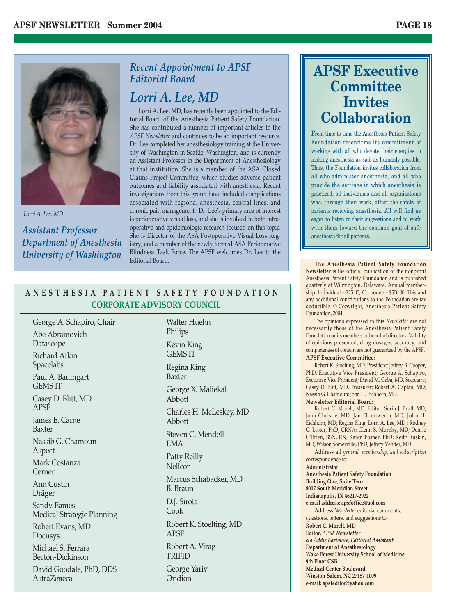

*Lorri A. Lee, MD*

*Assistant Professor Department of Anesthesia University of Washington*

#### *Recent Appointment to APSF Editorial Board*

#### *Lorri A. Lee, MD*

Lorri A. Lee, MD, has recently been appointed to the Editorial Board of the Anesthesia Patient Safety Foundation. She has contributed a number of important articles to the *APSF Newsletter* and continues to be an important resource. Dr. Lee completed her anesthesiology training at the University of Washington in Seattle, Washington, and is currently an Assistant Professor in the Department of Anesthesiology at that institution. She is a member of the ASA Closed Claims Project Committee, which studies adverse patient outcomes and liability associated with anesthesia. Recent investigations from this group have included complications associated with regional anesthesia, central lines, and chronic pain management. Dr. Lee's primary area of interest is perioperative visual loss, and she is involved in both intraoperative and epidemiologic research focused on this topic. She is Director of the ASA Postoperative Visual Loss Registry, and a member of the newly formed ASA Perioperative Blindness Task Force. The APSF welcomes Dr. Lee to the Editorial Board.

#### **ANESTHESIA PATIENT SAFETY FOUNDATION CORPORATE ADVISORY COUNCIL**

George A. Schapiro, Chair Abe Abramovich Datascope Richard Atkin Spacelabs Paul A. Baumgart GEMS IT Casey D. Blitt, MD APSF James E. Carne Baxter Nassib G. Chamoun Aspect Mark Costanza Cerner Ann Custin Dräger Sandy Eames Medical Strategic Planning Robert Evans, MD Docusys Michael S. Ferrara Becton-Dickinson David Goodale, PhD, DDS AstraZeneca

Walter Huehn Philips Kevin King GEMS IT Regina King Baxter George X. Maliekal Abbott Charles H. McLeskey, MD Abbott Steven C. Mendell LMA Patty Reilly **Nellcor** Marcus Schabacker, MD B. Braun D.J. Sirota Cook Robert K. Stoelting, MD APSF Robert A. Virag TRIFID George Yariv **Oridion** 

### **APSF Executive Committee Invites Collaboration**

From time to time the Anesthesia Patient Safety Foundation reconfirms its commitment of working with all who devote their energies to making anesthesia as safe as humanly possible. Thus, the Foundation invites collaboration from all who administer anesthesia, and all who provide the settings in which anesthesia is practiced, all individuals and all organizations who, through their work, affect the safety of patients receiving anesthesia. All will find us eager to listen to their suggestions and to work with them toward the common goal of safe anesthesia for all patients.

**The Anesthesia Patient Safety Foundation Newsletter** is the official publication of the nonprofit Anesthesia Patient Safety Foundation and is published quarterly at Wilmington, Delaware. Annual membership: Individual - \$25.00, Corporate - \$500.00. This and any additional contributions to the Foundation are tax deductible. © Copyright, Anesthesia Patient Safety Foundation, 2004.

The opinions expressed in this *Newsletter* are not necessarily those of the Anesthesia Patient Safety Foundation or its members or board of directors. Validity of opinions presented, drug dosages, accuracy, and completeness of content are not guaranteed by the APSF. **APSF Executive Committee:**

Robert K. Stoelting, MD, President; Jeffrey B. Cooper, PhD, Executive Vice President; George A. Schapiro, Executive Vice President; David M. Gaba, MD, Secretary; Casey D. Blitt, MD, Treasurer; Robert A. Caplan, MD; Nassib G. Chamoun; John H. Eichhorn, MD.

#### **Newsletter Editorial Board:**

Robert C. Morell, MD, Editor; Sorin J. Brull, MD; Joan Christie, MD; Jan Ehrenwerth, MD; John H. Eichhorn, MD; Regina King; Lorri A. Lee, MD ; Rodney C. Lester, PhD, CRNA; Glenn S. Murphy, MD; Denise O'Brien, BSN, RN; Karen Posner, PhD; Keith Ruskin, MD; Wilson Somerville, PhD; Jeffery Vender, MD.

Address all *general, membership, and subscription* correspondence to:

**Administrator**

**Anesthesia Patient Safety Foundation Building One, Suite Two 8007 South Meridian Street Indianapolis, IN 46217-2922 e-mail address: apsfoffice@aol.com** Address *Newsletter* editorial comments,

questions, letters, and suggestions to: **Robert C. Morell, MD Editor,** *APSF Newsletter c/o Addie Larimore, Editorial Assistant* **Department of Anesthesiology Wake Forest University School of Medicine 9th Floor CSB Medical Center Boulevard Winston-Salem, NC 27157-1009 e-mail: apsfeditor@yahoo.com**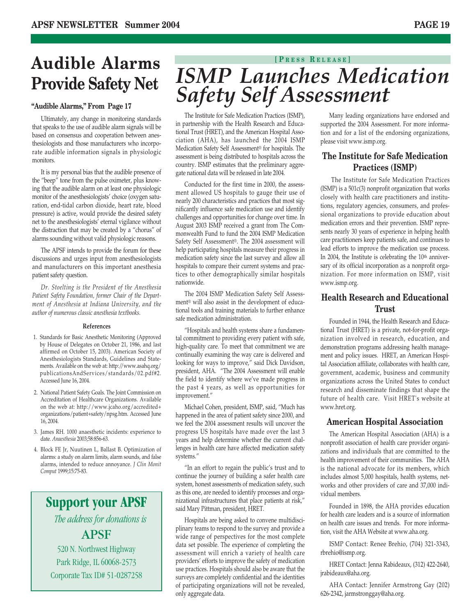# **Audible Alarms**

Ultimately, any change in monitoring standards that speaks to the use of audible alarm signals will be based on consensus and cooperation between anesthesiologists and those manufacturers who incorporate audible information signals in physiologic monitors.

It is my personal bias that the audible presence of the "beep" tone from the pulse oximeter, plus knowing that the audible alarm on at least one physiologic monitor of the anesthesiologists' choice (oxygen saturation, end-tidal carbon dioxide, heart rate, blood pressure) is active, would provide the desired safety net to the anesthesiologists' eternal vigilance without the distraction that may be created by a "chorus" of alarms sounding without valid physiologic reasons.

The APSF intends to provide the forum for these discussions and urges input from anesthesiologists and manufacturers on this important anesthesia patient safety question.

*Dr. Stoelting is the President of the Anesthesia Patient Safety Foundation, former Chair of the Department of Anesthesia at Indiana University, and the author of numerous classic anesthesia textbooks.*

#### **References**

- 1. Standards for Basic Anesthetic Monitoring (Approved by House of Delegates on October 21, 1986, and last affirmed on October 15, 2003). American Society of Anesthesiologists Standards, Guidelines and Statements. Available on the web at: http://www.asahq.org/ publicationsAndServices/standards/02.pdf#2. Accessed June 16, 2004.
- 2. National Patient Safety Goals. The Joint Commission on Accreditation of Healthcare Organizations. Available on the web at: http://www.jcaho.org/accredited+ organizations/patient+safety/npsg.htm. Accessed June 16, 2004.
- 3. James RH. 1000 anaesthetic incidents: experience to date. *Anaesthesia* 2003;58:856-63.
- 4. Block FE Jr, Nuutinen L, Ballast B. Optimization of alarms: a study on alarm limits, alarm sounds, and false alarms, intended to reduce annoyance. *J Clin Monit Comput* 1999;15:75-83.

### **Support your APSF** *The address for donations is* APSF 520 N. Northwest Highway

Park Ridge, IL 60068-2573 Corporate Tax ID# 51-0287258

## **[ P RESS R ELEASE ] Provide Safety Net** *ISMP Launches Medication* **Safety Self Assessment** "Audible Alarms," From Page 17

The Institute for Safe Medication Practices (ISMP), in partnership with the Health Research and Educational Trust (HRET), and the American Hospital Association (AHA), has launched the 2004 ISMP Medication Safety Self Assessment® for hospitals. The assessment is being distributed to hospitals across the country. ISMP estimates that the preliminary aggregate national data will be released in late 2004.

Conducted for the first time in 2000, the assessment allowed US hospitals to gauge their use of nearly 200 characteristics and practices that most significantly influence safe medication use and identify challenges and opportunities for change over time. In August 2003 ISMP received a grant from The Commonwealth Fund to fund the 2004 ISMP Medication Safety Self Assessment®. The 2004 assessment will help participating hospitals measure their progress in medication safety since the last survey and allow all hospitals to compare their current systems and practices to other demographically similar hospitals nationwide.

The 2004 ISMP Medication Safety Self Assessment® will also assist in the development of educational tools and training materials to further enhance safe medication administration.

"Hospitals and health systems share a fundamental commitment to providing every patient with safe, high-quality care. To meet that commitment we are continually examining the way care is delivered and looking for ways to improve," said Dick Davidson, president, AHA. "The 2004 Assessment will enable the field to identify where we've made progress in the past 4 years, as well as opportunities for improvement."

Michael Cohen, president, ISMP, said, "Much has happened in the area of patient safety since 2000, and we feel the 2004 assessment results will uncover the progress US hospitals have made over the last 3 years and help determine whether the current challenges in health care have affected medication safety systems."

"In an effort to regain the public's trust and to continue the journey of building a safer health care system, honest assessments of medication safety, such as this one, are needed to identify processes and organizational infrastructures that place patients at risk," said Mary Pittman, president, HRET.

Hospitals are being asked to convene multidisciplinary teams to respond to the survey and provide a wide range of perspectives for the most complete data set possible. The experience of completing the assessment will enrich a variety of health care providers' efforts to improve the safety of medication use practices. Hospitals should also be aware that the surveys are completely confidential and the identities of participating organizations will not be revealed, only aggregate data.

Many leading organizations have endorsed and supported the 2004 Assessment. For more information and for a list of the endorsing organizations, please visit www.ismp.org.

#### **The Institute for Safe Medication Practices (ISMP)**

The Institute for Safe Medication Practices (ISMP) is a 501c(3) nonprofit organization that works closely with health care practitioners and institutions, regulatory agencies, consumers, and professional organizations to provide education about medication errors and their prevention. ISMP represents nearly 30 years of experience in helping health care practitioners keep patients safe, and continues to lead efforts to improve the medication use process. In 2004, the Institute is celebrating the 10<sup>th</sup> anniversary of its official incorporation as a nonprofit organization. For more information on ISMP, visit www.ismp.org.

#### **Health Research and Educational Trust**

Founded in 1944, the Health Research and Educational Trust (HRET) is a private, not-for-profit organization involved in research, education, and demonstration programs addressing health management and policy issues. HRET, an American Hospital Association affiliate, collaborates with health care, government, academic, business and community organizations across the United States to conduct research and disseminate findings that shape the future of health care. Visit HRET's website at www.hret.org.

#### **American Hospital Association**

The American Hospital Association (AHA) is a nonprofit association of health care provider organizations and individuals that are committed to the health improvement of their communities. The AHA is the national advocate for its members, which includes almost 5,000 hospitals, health systems, networks and other providers of care and 37,000 individual members.

Founded in 1898, the AHA provides education for health care leaders and is a source of information on health care issues and trends. For more information, visit the AHA Website at www.aha.org.

ISMP Contact: Renee Brehio, (704) 321-3343, rbrehio@ismp.org.

HRET Contact: Jenna Rabideaux, (312) 422-2640, jrabideaux@aha.org.

AHA Contact: Jennifer Armstrong Gay (202) 626-2342, jarmstronggay@aha.org.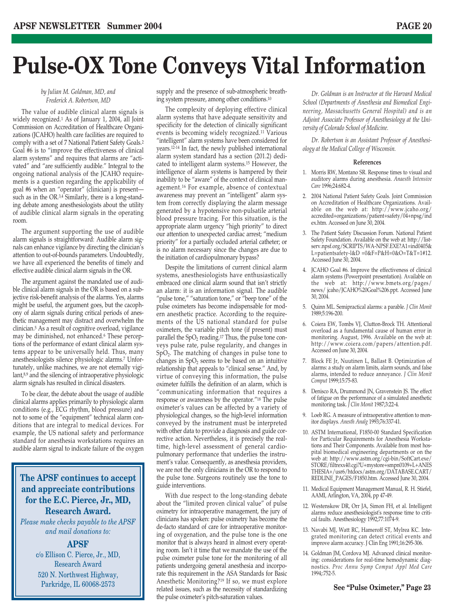## **Pulse-OX Tone Conveys Vital Information**

#### *by Julian M. Goldman, MD, and Frederick A. Robertson, MD*

The value of audible clinical alarm signals is widely recognized.1 As of January 1, 2004, all Joint Commission on Accreditation of Healthcare Organizations (JCAHO) health care facilities are required to comply with a set of 7 National Patient Safety Goals.2 Goal #6 is to "improve the effectiveness of clinical alarm systems" and requires that alarms are "activated" and "are sufficiently audible." Integral to the ongoing national analysis of the JCAHO requirements is a question regarding the applicability of goal #6 when an "operator" (clinician) is present such as in the OR. $3.4$  Similarly, there is a long-standing debate among anesthesiologists about the utility of audible clinical alarm signals in the operating room.

The argument supporting the use of audible alarm signals is straightforward: Audible alarm signals can enhance vigilance by directing the clinician's attention to out-of-bounds parameters. Undoubtedly, we have all experienced the benefits of timely and effective audible clinical alarm signals in the OR.

The argument against the mandated use of audible clinical alarm signals in the OR is based on a subjective risk-benefit analysis of the alarms. Yes, alarms might be useful, the argument goes, but the cacophony of alarm signals during critical periods of anesthetic management may distract and overwhelm the clinician.5 As a result of cognitive overload, vigilance may be diminished, not enhanced.6 These perceptions of the performance of extant clinical alarm systems appear to be universally held. Thus, many anesthesiologists silence physiologic alarms.7 Unfortunately, unlike machines, we are not eternally vigilant,8,9 and the silencing of intraoperative physiologic alarm signals has resulted in clinical disasters.

To be clear, the debate about the usage of audible clinical alarms applies primarily to physiologic alarm conditions (e.g., ECG rhythm, blood pressure) and not to some of the "equipment" technical alarm conditions that are integral to medical devices. For example, the US national safety and performance standard for anesthesia workstations requires an audible alarm signal to indicate failure of the oxygen

#### **The APSF continues to accept and appreciate contributions for the E.C. Pierce, Jr., MD, Research Award.**

*Please make checks payable to the APSF and mail donations to:*

#### **APSF**

c/o Ellison C. Pierce, Jr., MD, Research Award 520 N. Northwest Highway, Parkridge, IL 60068-2573

supply and the presence of sub-atmospheric breathing system pressure, among other conditions.10

The complexity of deploying effective clinical alarm systems that have adequate sensitivity and specificity for the detection of clinically significant events is becoming widely recognized.11 Various "intelligent" alarm systems have been considered for years.12-14 In fact, the newly published international alarm system standard has a section (201.2) dedicated to intelligent alarm systems.15 However, the intelligence of alarm systems is hampered by their inability to be "aware" of the context of clinical management.16 For example, absence of contextual awareness may prevent an "intelligent" alarm system from correctly displaying the alarm message generated by a hypotensive non-pulsatile arterial blood pressure tracing. For this situation, is the appropriate alarm urgency "high priority" to direct our attention to unexpected cardiac arrest; "medium priority" for a partially occluded arterial catheter; or is no alarm necessary since the changes are due to the initiation of cardiopulmonary bypass?

Despite the limitations of current clinical alarm systems, anesthesiologists have enthusiastically embraced one clinical alarm sound that isn't strictly an alarm: it is an information signal. The audible "pulse tone," "saturation tone," or "beep tone" of the pulse oximeters has become indispensable for modern anesthetic practice. According to the requirements of the US national standard for pulse oximeters, the variable pitch tone (if present) must parallel the  $SpO<sub>2</sub>$  reading.<sup>17</sup> Thus, the pulse tone conveys pulse rate, pulse regularity, and changes in SpO2. The matching of changes in pulse tone to changes in  $SpO<sub>2</sub>$  seems to be based on an intuitive relationship that appeals to "clinical sense." And, by virtue of conveying this information, the pulse oximeter fulfills the definition of an alarm, which is "communicating information that requires a response or awareness by the operator."18 The pulse oximeter's values can be affected by a variety of physiological changes, so the high-level information conveyed by the instrument must be interpreted with other data to provide a diagnosis and guide corrective action. Nevertheless, it is precisely the realtime, high-level assessment of general cardiopulmonary performance that underlies the instrument's value. Consequently, as anesthesia providers, we are not the only clinicians in the OR to respond to the pulse tone. Surgeons routinely use the tone to guide interventions.

With due respect to the long-standing debate about the "limited proven clinical value" of pulse oximetry for intraoperative management, the jury of clinicians has spoken: pulse oximetry has become the de-facto standard of care for intraoperative monitoring of oxygenation, and the pulse tone is the one monitor that is always heard in almost every operating room. Isn't it time that we mandate the use of the pulse oximeter pulse tone for the monitoring of all patients undergoing general anesthesia and incorporate this requirement in the ASA Standards for Basic Anesthetic Monitoring?19 If so, we must explore related issues, such as the necessity of standardizing the pulse oximeter's pitch-saturation values.

*Dr. Goldman is an Instructor at the Harvard Medical School (Departments of Anesthesia and Biomedical Engineering, Massachusetts General Hospital) and is an Adjoint Associate Professor of Anesthesiology at the University of Colorado School of Medicine.* 

*Dr. Robertson is an Assistant Professor of Anesthesiology at the Medical College of Wisconsin.*

#### **References**

- 1. Morris RW, Montano SR. Response times to visual and auditory alarms during anesthesia. *Anaesth Intensive Care* 1996;24:682-4.
- 2. 2004 National Patient Safety Goals. Joint Commission on Accreditation of Healthcare Organizations. Available on the web at: http://www.jcaho.org/ accredited+organizations/patient+safety/04+npsg/ind ex.htm. Accessed on June 30, 2004.
- 3. The Patient Safety Discussion Forum. National Patient Safety Foundation. Available on the web at: http://listserv.npsf.org/SCRIPTS/WA-NPSF.EXE?A1=ind0405& L=patientsafety-l&D =0&F=P&H=0&O=T&T=1#12. Accessed June 30, 2004.
- 4. JCAHO Goal #6. Improve the effectiveness of clinical alarm systems (Powerpoint presentation). Available on the web at: http://www.bmets.org/pages/ news/ jcaho/JCAHO%20Goal%206.ppt. Accessed June 30, 2004.
- 5. Quinn ML. Semipractical alarms: a parable. *J Clin Monit* 1989;5:196-200.
- 6. Coiera EW, Tombs VJ, Clutton-Brock TH. Attentional overload as a fundamental cause of human error in monitoring. August, 1996. Available on the web at: http://www.coiera.com/papers/attention.pdf. Accessed on June 30, 2004.
- 7. Block FE Jr, Nuutinen L, Ballast B. Optimization of alarms: a study on alarm limits, alarm sounds, and false alarms, intended to reduce annoyance. *J Clin Monit Comput* 1999;15:75-83.
- 8. Denisco RA, Drummond JN, Gravenstein JS. The effect of fatigue on the performance of a simulated anesthetic monitoring task. *J Clin Monit* 1987;3:22-4.
- 9. Loeb RG. A measure of intraoperative attention to monitor displays. *Anesth Analg* 1993;76:337-41.
- 10. ASTM International, F1850-00 Standard Specification for Particular Requirements for Anesthesia Workstations and Their Components. Available from most hospital biomedical engineering departments or on the web at: http://www.astm.org/cgi-bin/SoftCart.exe/ STORE/filtrexx40.cgi?U+mystore+smpn0109+L+ANES THESIA+/usr6/htdocs/astm.org/DATABASE.CART/ REDLINE\_PAGES/F1850.htm. Accessed June 30, 2004.
- 11. Medical Equipment Management Manual, R. H. Stiefel, AAMI, Arlington, VA, 2004, pp 47-49.
- 12. Westenskow DR, Orr JA, Simon FH, et al. Intelligent alarms reduce anesthesiologist's response time to critical faults. Anesthesiology 1992;77:1074-9.
- 13. Navabi MJ, Watt RC, Hameroff ST, Mylrea KC. Integrated monitoring can detect critical events and improve alarm accuracy. J Clin Eng 1991;16:295-306.
- 14. Goldman JM, Cordova MJ. Advanced clinical monitoring: considerations for real-time hemodynamic diagnostics. *Proc Annu Symp Comput Appl Med Care* 1994;:752-5.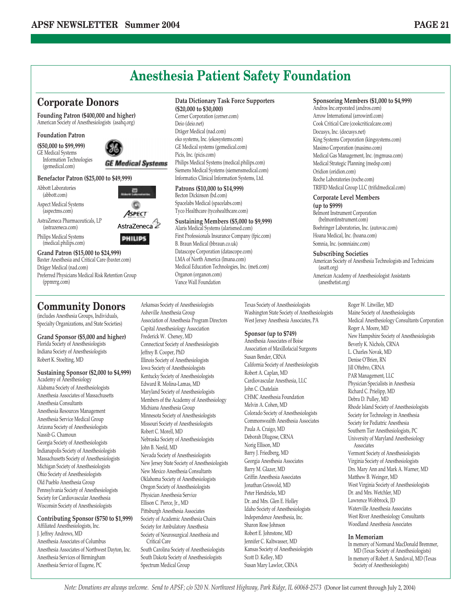## **Anesthesia Patient Safety Foundation**

#### **Corporate Donors**

**Founding Patron (\$400,000 and higher)** American Society of Anesthesiologists (asahq.org)

#### **Foundation Patron**

**(\$50,000 to \$99,999)** GE Medical Systems Information Technologies (gemedical.com)



c

#### **Benefactor Patron (\$25,000 to \$49,999)**

Abbott Laboratories (abbott.com)

- Aspect Medical Systems (aspectms.com)
- AstraZeneca Pharmaceuticals, LP (astrazeneca.com)
- Philips Medical Systems (medical.philips.com)



#### **Grand Patron (\$15,000 to \$24,999)** Baxter Anesthesia and Critical Care (baxter.com) Dräger Medical (nad.com)

Preferred Physicians Medical Risk Retention Group (ppmrrg.com)

#### **Community Donors**

(includes Anesthesia Groups, Individuals, Specialty Organizations, and State Societies)

**Grand Sponsor (\$5,000 and higher)** Florida Society of Anesthesiologists Indiana Society of Anesthesiologists Robert K. Stoelting, MD

#### **Sustaining Sponsor (\$2,000 to \$4,999)** Academy of Anesthesiology

Alabama Society of Anesthesiologists Anesthesia Associates of Massachusetts Anesthesia Consultants Anesthesia Resources Management Anesthesia Service Medical Group Arizona Society of Anesthesiologists Nassib G. Chamoun Georgia Society of Anesthesiologists Indianapolis Society of Anesthesiologists Massachusetts Society of Anesthesiologists Michigan Society of Anesthesiologists Ohio Society of Anesthesiologists Old Pueblo Anesthesia Group Pennsylvania Society of Anesthesiologists Society for Cardiovascular Anesthesia Wisconsin Society of Anesthesiologists

#### **Contributing Sponsor (\$750 to \$1,999)**

Affiliated Anesthesiologists, Inc. J. Jeffrey Andrews, MD Anesthesia Associates of Columbus Anesthesia Associates of Northwest Dayton, Inc. Anesthesia Services of Birmingham Anesthesia Service of Eugene, PC

#### **Data Dictionary Task Force Supporters**

**(\$20,000 to \$30,000)** Cerner Corporation (cerner.com) Deio (deio.net) Dräger Medical (nad.com) eko systems, Inc. (ekosystems.com) GE Medical systems (gemedical.com) Picis, Inc. (picis.com) Philips Medical Systems (medical.philips.com) Siemens Medical Systems (siemensmedical.com) Informatics Clinical Information Systems, Ltd.

#### **Patrons (\$10,000 to \$14,999)**

Becton Dickinson (bd.com) Spacelabs Medical (spacelabs.com) Tyco Healthcare (tycohealthcare.com)

Arkansas Society of Anesthesiologists Asheville Anesthesia Group

Association of Anesthesia Program Directors Capital Anesthesiology Association Frederick W. Cheney, MD

Connecticut Society of Anesthesiologists

Jeffrey B. Cooper, PhD Illinois Society of Anesthesiologists Iowa Society of Anesthesiologists Kentucky Society of Anesthesiologists Edward R. Molina-Lamas, MD Maryland Society of Anesthesiologists Members of the Academy of Anesthesiology

Michiana Anesthesia Group Minnesota Society of Anesthesiologists Missouri Society of Anesthesiologists

Nebraska Society of Anesthesiologists

Nevada Society of Anesthesiologists New Jersey State Society of Anesthesiologists New Mexico Anesthesia Consultants Oklahoma Society of Anesthesiologists Oregon Society of Anesthesiologists Physician Anesthesia Service Ellison C. Pierce, Jr., MD Pittsburgh Anesthesia Associates Society of Academic Anesthesia Chairs Society for Ambulatory Anesthesia Society of Neurosurgical Anesthesia and

South Carolina Society of Anesthesiologists South Dakota Society of Anesthesiologists

Robert C. Morell, MD

John B. Neeld, MD

Critical Care

Spectrum Medical Group

#### **Sustaining Members (\$5,000 to \$9,999)**

Alaris Medical Systems (alarismed.com) First Professionals Insurance Company (fpic.com) B. Braun Medical (bbraun.co.uk) Datascope Corporation (datascope.com) LMA of North America (lmana.com) Medical Education Technologies, Inc. (meti.com) Organon (organon.com) Vance Wall Foundation

#### **Sponsoring Members (\$1,000 to \$4,999)**

Andros Inc.orporated (andros.com) Arrow International (arrowintl.com) Cook Critical Care (cookcriticalcare.com) Docusys, Inc. (docusys.net) King Systems Corporation (kingsystems.com) Masimo Corporation (masimo.com) Medical Gas Management, Inc. (mgmusa.com) Medical Strategic Planning (medsp.com) Oridion (oridion.com) Roche Laboratories (roche.com) TRIFID Medical Group LLC (trifidmedical.com)

#### **Corporate Level Members**

**(up to \$999)**

Belmont Instrument Corporation (belmontinstrument.com) Boehringer Laboratories, Inc. (autovac.com) Hoana Medical, Inc. (hoana.com) Somnia, Inc. (somniainc.com)

#### **Subscribing Societies**

American Society of Anesthesia Technologists and Technicians (asatt.org) American Academy of Anesthesiologist Assistants (anesthetist.org)

Texas Society of Anesthesiologists Washington State Society of Anesthesiologists West Jersey Anesthesia Associates, PA

#### **Sponsor (up to \$749)**

Anesthesia Associates of Boise Association of Maxillofacial Surgeons Susan Bender, CRNA California Society of Anesthesiologists Robert A. Caplan, MD Cardiovascular Anesthesia, LLC John C. Chatelain CHMC Anesthesia Foundation Melvin A. Cohen, MD Colorado Society of Anesthesiologists Commonwealth Anesthesia Associates Paula A. Craigo, MD Deborah Dlugose, CRNA Norig Ellison, MD Barry J. Friedberg, MD Georgia Anesthesia Associates Barry M. Glazer, MD Griffin Anesthesia Associates Jonathan Griswold, MD Peter Hendricks, MD Dr. and Mrs. Glen E. Holley Idaho Society of Anesthesiologists Independence Anesthesia, Inc. Sharon Rose Johnson Robert E. Johnstone, MD Jennifer C. Kaltwasser, MD Kansas Society of Anesthesiologists Scott D. Kelley, MD Susan Mary Lawlor, CRNA

Roger W. Litwiller, MD Maine Society of Anesthesiologists Medical Anesthesiology Consultants Corporation Roger A. Moore, MD New Hampshire Society of Anesthesiologists Beverly K. Nichols, CRNA L. Charles Novak, MD Denise O'Brien, RN Jill Oftebro, CRNA PAR Management, LLC Physician Specialists in Anesthesia Richard C. Prielipp, MD Debra D. Pulley, MD Rhode Island Society of Anesthesiologists Society for Technology in Anesthesia Society for Pediatric Anesthesia Southern Tier Anesthesiologists, PC University of Maryland Anesthesiology Associates Vermont Society of Anesthesiologists Virginia Society of Anesthesiologists Drs. Mary Ann and Mark A. Warner, MD Matthew B. Weinger, MD West Virginia Society of Anesthesiologists Dr. and Mrs. Wetchler, MD Lawrence Wobbrock, JD Waterville Anesthesia Associates West River Anesthesiology Consultants Woodland Anesthesia Associates

#### **In Memoriam**

In memory of Normand MacDonald Bremmer, MD (Texas Society of Anesthesiologists) In memory of Robert A. Sandoval, MD (Texas Society of Anesthesiologists)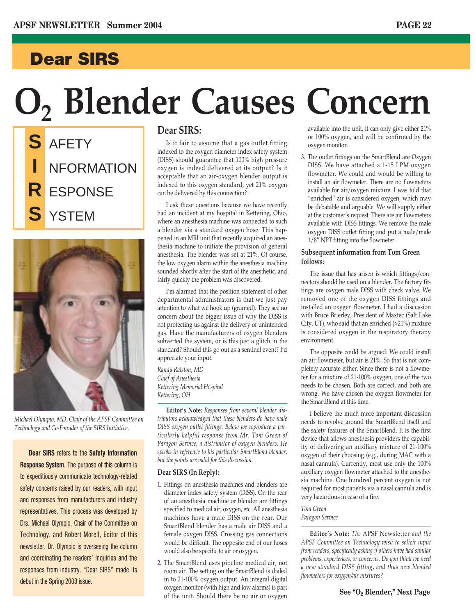### **Dear SIRS**

# **O2 Blender Causes Concern**

**S** AFETY **I** NFORMATION **R** ESPONSE **S** YSTEM



*Michael Olympio, MD, Chair of the APSF Committee on Technology and Co-Founder of the SIRS Initiative.*

**Dear SIRS** refers to the **Safety Information Response System**. The purpose of this column is to expeditiously communicate technology-related safety concerns raised by our readers, with input and responses from manufacturers and industry representatives. This process was developed by Drs. Michael Olympio, Chair of the Committee on Technology, and Robert Morell, Editor of this newsletter. Dr. Olympio is overseeing the column and coordinating the readers' inquiries and the responses from industry. "Dear SIRS" made its debut in the Spring 2003 issue.

#### **Dear SIRS:**

Is it fair to assume that a gas outlet fitting indexed to the oxygen diameter index safety system (DISS) should guarantee that 100% high pressure oxygen is indeed delivered at its output? Is it acceptable that an air-oxygen blender output is indexed to this oxygen standard, yet 21% oxygen can be delivered by this connection?

I ask these questions because we have recently had an incident at my hospital in Kettering, Ohio, where an anesthesia machine was connected to such a blender via a standard oxygen hose. This happened in an MRI unit that recently acquired an anesthesia machine to initiate the provision of general anesthesia. The blender was set at 21%. Of course, the low oxygen alarm within the anesthesia machine sounded shortly after the start of the anesthetic, and fairly quickly the problem was discovered.

I'm alarmed that the position statement of other departmental administrators is that we just pay attention to what we hook up (granted). They see no concern about the bigger issue of why the DISS is not protecting us against the delivery of unintended gas. Have the manufacturers of oxygen blenders subverted the system, or is this just a glitch in the standard? Should this go out as a sentinel event? I'd appreciate your input.

*Randy Ralston, MD Chief of Anesthesia Kettering Memorial Hospital Kettering, OH*

**Editor's Note:** *Responses from several blender distributors acknowledged that these blenders do have male DISS oxygen outlet fittings. Below we reproduce a particularly helpful response from Mr. Tom Green of Paragon Service, a distributor of oxygen blenders. He speaks in reference to his particular SmartBlend blender, but the points are valid for this discussion.*

#### **Dear SIRS (In Reply):**

- 1. Fittings on anesthesia machines and blenders are diameter index safety system (DISS). On the rear of an anesthesia machine or blender are fittings specified to medical air, oxygen, etc. All anesthesia machines have a male DISS on the rear. Our SmartBlend blender has a male air DISS and a female oxygen DISS. Crossing gas connections would be difficult. The opposite end of our hoses would also be specific to air or oxygen.
- 2. The SmartBlend uses pipeline medical air, not room air. The setting on the SmartBlend is dialed in to 21-100% oxygen output. An integral digital oxygen monitor (with high and low alarms) is part of the unit. Should there be no air or oxygen

available into the unit, it can only give either 21% or 100% oxygen, and will be confirmed by the oxygen monitor.

3. The outlet fittings on the SmartBlend are Oxygen DISS. We have attached a 1-15 LPM oxygen flowmeter. We could and would be willing to install an air flowmeter. There are no flowmeters available for air/oxygen mixture. I was told that "enriched" air is considered oxygen, which may be debatable and arguable. We will supply either at the customer's request. There are air flowmeters available with DISS fittings. We remove the male oxygen DISS outlet fitting and put a male/male 1/8" NPT fitting into the flowmeter.

#### **Subsequent information from Tom Green follows:**

The issue that has arisen is which fittings/connectors should be used on a blender. The factory fittings are oxygen male DISS with check valve. We removed one of the oxygen DISS fittings and installed an oxygen flowmeter. I had a discussion with Bruce Brierley, President of Maxtec (Salt Lake City, UT), who said that an enriched (>21%) mixture is considered oxygen in the respiratory therapy environment.

The opposite could be argued. We could install an air flowmeter, but air is 21%. So that is not completely accurate either. Since there is not a flowmeter for a mixture of 21-100% oxygen, one of the two needs to be chosen. Both are correct, and both are wrong. We have chosen the oxygen flowmeter for the SmartBlend at this time.

I believe the much more important discussion needs to revolve around the SmartBlend itself and the safety features of the SmartBlend. It is the first device that allows anesthesia providers the capability of delivering an auxiliary mixture of 21-100% oxygen of their choosing (e.g., during MAC with a nasal cannula). Currently, most use only the 100% auxiliary oxygen flowmeter attached to the anesthesia machine. One hundred percent oxygen is not required for most patients via a nasal cannula and is very hazardous in case of a fire.

*Tom Green Paragon Service*

**Editor's Note:** *The* APSF Newsletter *and the APSF Committee on Technology wish to solicit input from readers, specifically asking if others have had similar problems, experiences, or concerns. Do you think we need a new standard DISS fitting, and thus new blended flowmeters for oxygen/air mixtures?*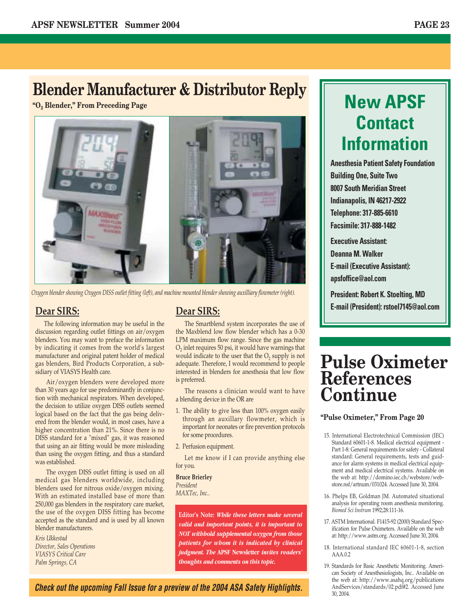## **Blender Manufacturer & Distributor Reply**

**"O2 Blender," From Preceding Page**



*Oxygen blender showing Oxygen DISS outlet fitting (left), and machine mounted blender showing auxilliary flowmeter (right).*

#### **Dear SIRS:**

The following information may be useful in the discussion regarding outlet fittings on air/oxygen blenders. You may want to preface the information by indicating it comes from the world's largest manufacturer and original patent holder of medical gas blenders, Bird Products Corporation, a subsidiary of VIASYS Health care.

Air/oxygen blenders were developed more than 30 years ago for use predominantly in conjunction with mechanical respirators. When developed, the decision to utilize oxygen DISS outlets seemed logical based on the fact that the gas being delivered from the blender would, in most cases, have a higher concentration than 21%. Since there is no DISS standard for a "mixed" gas, it was reasoned that using an air fitting would be more misleading than using the oxygen fitting, and thus a standard was established.

The oxygen DISS outlet fitting is used on all medical gas blenders worldwide, including blenders used for nitrous oxide/oxygen mixing. With an estimated installed base of more than 250,000 gas blenders in the respiratory care market, the use of the oxygen DISS fitting has become accepted as the standard and is used by all known blender manufacturers.

*Kris Ukkestad Director, Sales Operations VIASYS Critical Care Palm Springs, CA* 

#### **Dear SIRS:**

The Smartblend system incorporates the use of the Maxblend low flow blender which has a 0-30 LPM maximum flow range. Since the gas machine  $O<sub>2</sub>$  inlet requires 50 psi, it would have warnings that would indicate to the user that the  $O<sub>2</sub>$  supply is not adequate. Therefore, I would recommend to people interested in blenders for anesthesia that low flow is preferred.

The reasons a clinician would want to have a blending device in the OR are

- 1. The ability to give less than 100% oxygen easily through an auxillary flowmeter, which is important for neonates or fire prevention protocols for some procedures.
- 2. Perfusion equipment.

Let me know if I can provide anything else for you.

**Bruce Brierley** *President MAXTec, Inc..*

**Editor's Note:** *While these letters make several valid and important points, it is important to NOT withhold supplemental oxygen from those patients for whom it is indicated by clinical judgment. The* **APSF Newsletter** *invites readers' thoughts and comments on this topic.*

#### *Check out the upcoming Fall Issue for a preview of the 2004 ASA Safety Highlights.*

## **New APSF Contact Information**

**Anesthesia Patient Safety Foundation Building One, Suite Two 8007 South Meridian Street Indianapolis, IN 46217-2922 Telephone: 317-885-6610 Facsimile: 317-888-1482**

**Executive Assistant: Deanna M. Walker E-mail (Executive Assistant): apsfoffice@aol.com**

**President: Robert K. Stoelting, MD E-mail (President): rstoel7145@aol.com**

## **Pulse Oximeter References Continue**

#### **"Pulse Oximeter," From Page 20**

- 15. International Electrotechnical Commission (IEC) Standard 60601-1-8. Medical electrical equipment - Part 1-8: General requirements for safety - Collateral standard: General requirements, tests and guidance for alarm systems in medical electrical equipment and medical electrical systems. Available on the web at: http://domino.iec.ch/webstore/webstore.nsf/artnum/031024. Accessed June 30, 2004.
- 16. Phelps EB, Goldman JM. Automated situational analysis for operating room anesthesia monitoring. *Biomed Sci Instrum* 1992;28:111-16.
- 17. ASTM International. F1415-92 (2000) Standard Specification for Pulse Oximeters. Available on the web at: http://www.astm.org. Accessed June 30, 2004.
- 18. International standard IEC 60601-1-8, section AAA.0.2
- 19. Standards for Basic Anesthetic Monitoring. American Society of Anesthesiologists, Inc.. Available on the web at: http://www.asahq.org/publications AndServices/standards/02.pdf#2. Accessed June 30, 2004.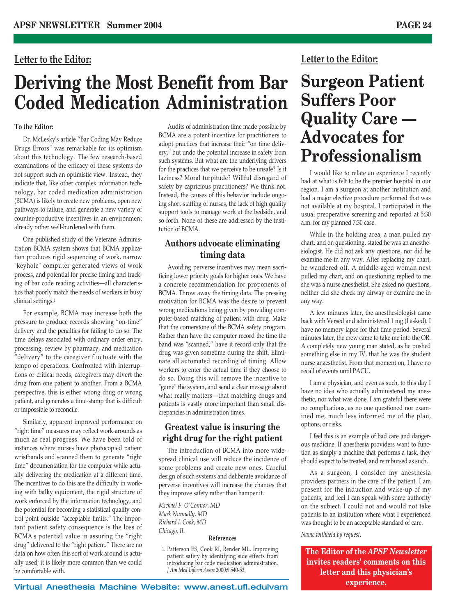#### **Letter to the Editor:**

## **Deriving the Most Benefit from Bar Coded Medication Administration**

#### **To the Editor:**

Dr. McLesky's article "Bar Coding May Reduce Drugs Errors" was remarkable for its optimism about this technology. The few research-based examinations of the efficacy of these systems do not support such an optimistic view. Instead, they indicate that, like other complex information technology, bar coded medication administration (BCMA) is likely to create new problems, open new pathways to failure, and generate a new variety of counter-productive incentives in an environment already rather well-burdened with them.

One published study of the Veterans Administration BCMA system shows that BCMA application produces rigid sequencing of work, narrow "keyhole" computer generated views of work process, and potential for precise timing and tracking of bar code reading activities—all characteristics that poorly match the needs of workers in busy clinical settings.1

For example, BCMA may increase both the pressure to produce records showing "on-time" delivery and the penalties for failing to do so. The time delays associated with ordinary order entry, processing, review by pharmacy, and medication "delivery" to the caregiver fluctuate with the tempo of operations. Confronted with interruptions or critical needs, caregivers may divert the drug from one patient to another. From a BCMA perspective, this is either wrong drug or wrong patient, and generates a time-stamp that is difficult or impossible to reconcile.

Similarly, apparent improved performance on "right time" measures may reflect work-arounds as much as real progress. We have been told of instances where nurses have photocopied patient wristbands and scanned them to generate "right time" documentation for the computer while actually delivering the medication at a different time. The incentives to do this are the difficulty in working with balky equipment, the rigid structure of work enforced by the information technology, and the potential for becoming a statistical quality control point outside "acceptable limits." The important patient safety consequence is the loss of BCMA's potential value in assuring the "right drug" delivered to the "right patient." There are no data on how often this sort of work around is actually used; it is likely more common than we could be comfortable with.

Audits of administration time made possible by BCMA are a potent incentive for practitioners to adopt practices that increase their "on time delivery," but undo the potential increase in safety from such systems. But what are the underlying drivers for the practices that we perceive to be unsafe? Is it laziness? Moral turpitude? Willful disregard of safety by capricious practitioners? We think not. Instead, the causes of this behavior include ongoing short-staffing of nurses, the lack of high quality support tools to manage work at the bedside, and so forth. None of these are addressed by the institution of BCMA.

#### **Authors advocate eliminating timing data**

Avoiding perverse incentives may mean sacrificing lower priority goals for higher ones. We have a concrete recommendation for proponents of BCMA. Throw away the timing data. The pressing motivation for BCMA was the desire to prevent wrong medications being given by providing computer-based matching of patient with drug. Make that the cornerstone of the BCMA safety program. Rather than have the computer record the time the band was "scanned," have it record only that the drug was given sometime during the shift. Eliminate all automated recording of timing. Allow workers to enter the actual time if they choose to do so. Doing this will remove the incentive to "game" the system, and send a clear message about what really matters—that matching drugs and patients is vastly more important than small discrepancies in administration times.

#### **Greatest value is insuring the right drug for the right patient**

The introduction of BCMA into more widespread clinical use will reduce the incidence of some problems and create new ones. Careful design of such systems and deliberate avoidance of perverse incentives will increase the chances that they improve safety rather than hamper it.

*Michael F. O'Connor, MD Mark Nunnally, MD Richard I. Cook, MD Chicago, IL*

#### **References**

1. Patterson ES, Cook RI, Render ML. Improving patient safety by identifying side effects from introducing bar code medication administration. *J Am Med Inform Assoc* 2000;9:540-53.

#### **Letter to the Editor:**

## **Surgeon Patient Suffers Poor Quality Care — Advocates for Professionalism**

I would like to relate an experience I recently had at what is felt to be the premier hospital in our region. I am a surgeon at another institution and had a major elective procedure performed that was not available at my hospital. I participated in the usual preoperative screening and reported at 5:30 a.m. for my planned 7:30 case.

While in the holding area, a man pulled my chart, and on questioning, stated he was an anesthesiologist. He did not ask any questions, nor did he examine me in any way. After replacing my chart, he wandered off. A middle-aged woman next pulled my chart, and on questioning replied to me she was a nurse anesthetist. She asked no questions, neither did she check my airway or examine me in any way.

A few minutes later, the anesthesiologist came back with Versed and administered 1 mg (I asked). I have no memory lapse for that time period. Several minutes later, the crew came to take me into the OR. A completely new young man stated, as he pushed something else in my IV, that he was the student nurse anaesthetist. From that moment on, I have no recall of events until PACU.

I am a physician, and even as such, to this day I have no idea who actually administered my anesthetic, nor what was done. I am grateful there were no complications, as no one questioned nor examined me, much less informed me of the plan, options, or risks.

I feel this is an example of bad care and dangerous medicine. If anesthesia providers want to function as simply a machine that performs a task, they should expect to be treated, and reimbursed as such.

As a surgeon, I consider my anesthesia providers partners in the care of the patient. I am present for the induction and wake-up of my patients, and feel I can speak with some authority on the subject. I could not and would not take patients to an institution where what I experienced was thought to be an acceptable standard of care.

*Name withheld by request.*

**The Editor of the** *APSF Newsletter* **invites readers' comments on this letter and this physician's experience.**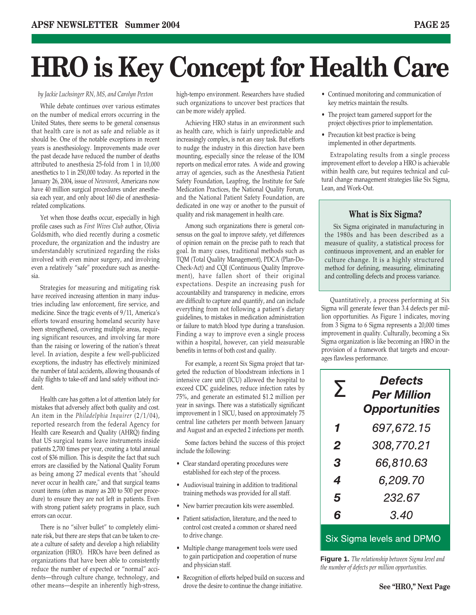## **HRO is Key Concept for Health Care**

#### *by Jackie Luchsinger RN, MS, and Carolyn Pexton*

While debate continues over various estimates on the number of medical errors occurring in the United States, there seems to be general consensus that health care is not as safe and reliable as it should be. One of the notable exceptions in recent years is anesthesiology. Improvements made over the past decade have reduced the number of deaths attributed to anesthesia 25-fold from 1 in 10,000 anesthetics to 1 in 250,000 today. As reported in the January 26, 2004, issue of *Newsweek*, Americans now have 40 million surgical procedures under anesthesia each year, and only about 160 die of anesthesiarelated complications.

Yet when those deaths occur, especially in high profile cases such as *First Wives Club* author, Olivia Goldsmith, who died recently during a cosmetic procedure, the organization and the industry are understandably scrutinized regarding the risks involved with even minor surgery, and involving even a relatively "safe" procedure such as anesthesia.

Strategies for measuring and mitigating risk have received increasing attention in many industries including law enforcement, fire service, and medicine. Since the tragic events of 9/11, America's efforts toward ensuring homeland security have been strengthened, covering multiple areas, requiring significant resources, and involving far more than the raising or lowering of the nation's threat level. In aviation, despite a few well-publicized exceptions, the industry has effectively minimized the number of fatal accidents, allowing thousands of daily flights to take-off and land safely without incident.

Health care has gotten a lot of attention lately for mistakes that adversely affect both quality and cost. An item in the *Philadelphia Inquirer* (2/1/04), reported research from the federal Agency for Health care Research and Quality (AHRQ) finding that US surgical teams leave instruments inside patients 2,700 times per year, creating a total annual cost of \$36 million. This is despite the fact that such errors are classified by the National Quality Forum as being among 27 medical events that "should never occur in health care," and that surgical teams count items (often as many as 200 to 500 per procedure) to ensure they are not left in patients. Even with strong patient safety programs in place, such errors can occur.

There is no "silver bullet" to completely eliminate risk, but there are steps that can be taken to create a culture of safety and develop a high reliability organization (HRO). HROs have been defined as organizations that have been able to consistently reduce the number of expected or "normal" accidents—through culture change, technology, and other means—despite an inherently high-stress, high-tempo environment. Researchers have studied such organizations to uncover best practices that can be more widely applied.

Achieving HRO status in an environment such as health care, which is fairly unpredictable and increasingly complex, is not an easy task. But efforts to nudge the industry in this direction have been mounting, especially since the release of the IOM reports on medical error rates. A wide and growing array of agencies, such as the Anesthesia Patient Safety Foundation, Leapfrog, the Institute for Safe Medication Practices, the National Quality Forum, and the National Patient Safety Foundation, are dedicated in one way or another to the pursuit of quality and risk management in health care.

Among such organizations there is general consensus on the goal to improve safety, yet differences of opinion remain on the precise path to reach that goal. In many cases, traditional methods such as TQM (Total Quality Management), PDCA (Plan-Do-Check-Act) and CQI (Continuous Quality Improvement), have fallen short of their original expectations. Despite an increasing push for accountability and transparency in medicine, errors are difficult to capture and quantify, and can include everything from not following a patient's dietary guidelines, to mistakes in medication administration or failure to match blood type during a transfusion. Finding a way to improve even a single process within a hospital, however, can yield measurable benefits in terms of both cost and quality.

For example, a recent Six Sigma project that targeted the reduction of bloodstream infections in 1 intensive care unit (ICU) allowed the hospital to exceed CDC guidelines, reduce infection rates by 75%, and generate an estimated \$1.2 million per year in savings. There was a statistically significant improvement in 1 SICU, based on approximately 75 central line catheters per month between January and August and an expected 2 infections per month.

Some factors behind the success of this project include the following:

- Clear standard operating procedures were established for each step of the process.
- Audiovisual training in addition to traditional training methods was provided for all staff.
- New barrier precaution kits were assembled.
- Patient satisfaction, literature, and the need to control cost created a common or shared need to drive change.
- Multiple change management tools were used to gain participation and cooperation of nurse and physician staff.
- Recognition of efforts helped build on success and drove the desire to continue the change initiative.
- Continued monitoring and communication of key metrics maintain the results.
- The project team garnered support for the project objectives prior to implementation.
- Precaution kit best practice is being implemented in other departments.

Extrapolating results from a single process improvement effort to develop a HRO is achievable within health care, but requires technical and cultural change management strategies like Six Sigma, Lean, and Work-Out.

#### **What is Six Sigma?**

Six Sigma originated in manufacturing in the 1980s and has been described as a measure of quality, a statistical process for continuous improvement, and an enabler for culture change. It is a highly structured method for defining, measuring, eliminating and controlling defects and process variance.

Quantitatively, a process performing at Six Sigma will generate fewer than 3.4 defects per million opportunities. As Figure 1 indicates, moving from 3 Sigma to 6 Sigma represents a 20,000 times improvement in quality. Culturally, becoming a Six Sigma organization is like becoming an HRO in the provision of a framework that targets and encourages flawless performance.

| $\sum$       | <b>Defects</b><br><b>Per Million</b><br><b>Opportunities</b> |  |  |  |  |
|--------------|--------------------------------------------------------------|--|--|--|--|
| 1            | 697.672.15                                                   |  |  |  |  |
| $\mathbf{2}$ | 308,770.21                                                   |  |  |  |  |
| 3            | 66.810.63                                                    |  |  |  |  |
| 4            | 6.209.70                                                     |  |  |  |  |
| 5            | 232.67                                                       |  |  |  |  |
| 6            | 3.40                                                         |  |  |  |  |

#### Six Sigma levels and DPMO

**Figure 1.** *The relationship between Sigma level and the number of defects per million opportunities.*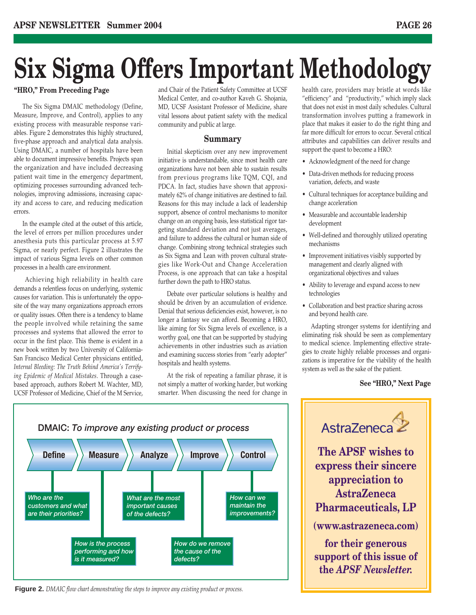# **Six Sigma Offers Important Methodology**

The Six Sigma DMAIC methodology (Define, Measure, Improve, and Control), applies to any existing process with measurable response variables. Figure 2 demonstrates this highly structured, five-phase approach and analytical data analysis. Using DMAIC, a number of hospitals have been able to document impressive benefits. Projects span the organization and have included decreasing patient wait time in the emergency department, optimizing processes surrounding advanced technologies, improving admissions, increasing capacity and access to care, and reducing medication errors.

In the example cited at the outset of this article, the level of errors per million procedures under anesthesia puts this particular process at 5.97 Sigma, or nearly perfect. Figure 2 illustrates the impact of various Sigma levels on other common processes in a health care environment.

Achieving high reliability in health care demands a relentless focus on underlying, systemic causes for variation. This is unfortunately the opposite of the way many organizations approach errors or quality issues. Often there is a tendency to blame the people involved while retaining the same processes and systems that allowed the error to occur in the first place. This theme is evident in a new book written by two University of California-San Francisco Medical Center physicians entitled, *Internal Bleeding: The Truth Behind America's Terrifying Epidemic of Medical Mistakes*. Through a casebased approach, authors Robert M. Wachter, MD, UCSF Professor of Medicine, Chief of the M Service,

"HRO," From Preceding Page and Chair of the Patient Safety Committee at UCSF Medical Center, and co-author Kaveh G. Shojania, MD, UCSF Assistant Professor of Medicine, share vital lessons about patient safety with the medical community and public at large.

#### **Summary**

Initial skepticism over any new improvement initiative is understandable, since most health care organizations have not been able to sustain results from previous programs like TQM, CQI, and PDCA. In fact, studies have shown that approximately 62% of change initiatives are destined to fail. Reasons for this may include a lack of leadership support, absence of control mechanisms to monitor change on an ongoing basis, less statistical rigor targeting standard deviation and not just averages, and failure to address the cultural or human side of change. Combining strong technical strategies such as Six Sigma and Lean with proven cultural strategies like Work-Out and Change Acceleration Process, is one approach that can take a hospital further down the path to HRO status.

Debate over particular solutions is healthy and should be driven by an accumulation of evidence. Denial that serious deficiencies exist, however, is no longer a fantasy we can afford. Becoming a HRO, like aiming for Six Sigma levels of excellence, is a worthy goal, one that can be supported by studying achievements in other industries such as aviation and examining success stories from "early adopter" hospitals and health systems.

At the risk of repeating a familiar phrase, it is not simply a matter of working harder, but working smarter. When discussing the need for change in health care, providers may bristle at words like "efficiency" and "productivity," which imply slack that does not exist in most daily schedules. Cultural transformation involves putting a framework in place that makes it easier to do the right thing and far more difficult for errors to occur. Several critical attributes and capabilities can deliver results and support the quest to become a HRO:

- Acknowledgment of the need for change
- Data-driven methods for reducing process variation, defects, and waste
- Cultural techniques for acceptance building and change acceleration
- Measurable and accountable leadership development
- Well-defined and thoroughly utilized operating mechanisms
- Improvement initiatives visibly supported by management and clearly aligned with organizational objectives and values
- Ability to leverage and expand access to new technologies
- Collaboration and best practice sharing across and beyond health care.

Adapting stronger systems for identifying and eliminating risk should be seen as complementary to medical science. Implementing effective strategies to create highly reliable processes and organizations is imperative for the viability of the health system as well as the sake of the patient.

#### **See "HRO," Next Page**



**Figure 2.** *DMAIC flow chart demonstrating the steps to improve any existing product or process.*

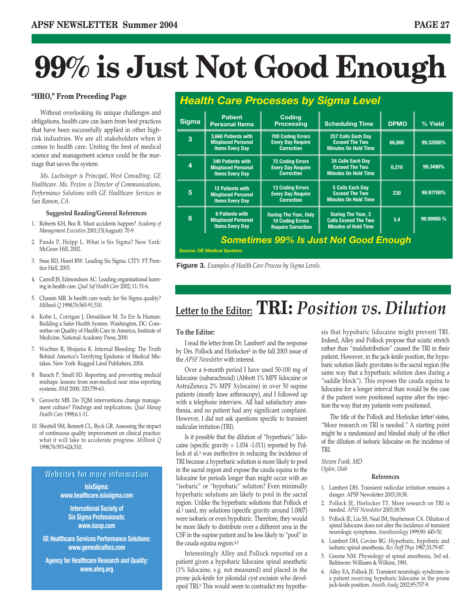# **99% is Just Not Good Enough**

#### **"HRO," From Preceding Page**

Without overlooking its unique challenges and obligations, health care can learn from best practices that have been successfully applied in other highrisk industries. We are all stakeholders when it comes to health care. Uniting the best of medical science and management science could be the marriage that saves the system.

*Ms. Luchsinger is Principal, West Consulting, GE Healthcare. Ms. Pexton is Director of Communications, Performance Solutions with GE Healthcare Services in San Ramon, CA.*

#### **Suggested Reading/General References**

- 1. Roberts KH, Bea R. Must accidents happen? *Academy of Management Executive* 2001;15(August): 70-9.
- 2. Pande P, Holpp L. What is Six Sigma? New York: McGraw Hill, 2002.
- 3. Snee RD, Hoerl RW. Leading Six Sigma. CITY: FT Prentice Hall, 2003.
- 4. Carroll JS, Edmondson AC. Leading organisational learning in health care. *Qual Saf Health Care* 2002; 11: 51-6.
- 5. Chassin MR. Is health care ready for Six Sigma quality? *Milbank Q* 1998;76:565-91,510.
- 6. Kohn L, Corrigan J, Donaldson M. To Err Is Human: Building a Safer Health System. Washington, DC: Committee on Quality of Health Care in America, Institute of Medicine. National Academy Press; 2000.
- 7. Wachter R, Shojania K. Internal Bleeding: The Truth Behind America's Terrifying Epidemic of Medical Mistakes. New York: Rugged Land Publishers, 2004.
- 8. Barach P, Small SD. Reporting and preventing medical mishaps: lessons from non-medical near miss reporting systems. *BMJ* 2000; 320:759-63.
- 9. Gerowitz MB. Do TQM interventions change management culture? Findings and implications. *Qual Manag Health Care* 1998;6:1-11.
- 10. Shortell SM, Bennett CL, Byck GR. Assessing the impact of continuous quality improvement on clinical practice: what it will take to accelerate progress. *Milbank Q* 1998;76:593-624,510.

#### **Websites for more information**

**IsixSigma: www.healthcare.isixsigma.com**

**International Society of Six Sigma Professionals: www.isssp.com**

**GE Healthcare Services Performance Solutions: www.gemedicalhcs.com**

**Agency for Healthcare Research and Quality: www.ahrq.org**

| <b>Health Care Processes by Sigma Level</b>  |                                                                                 |                                                                                      |                                                                                         |             |            |  |  |  |
|----------------------------------------------|---------------------------------------------------------------------------------|--------------------------------------------------------------------------------------|-----------------------------------------------------------------------------------------|-------------|------------|--|--|--|
| <b>Sigma</b>                                 | <b>Patient</b><br><b>Personal Items</b>                                         | <b>Coding</b><br><b>Processing</b>                                                   | <b>Scheduling Time</b>                                                                  | <b>DPMO</b> | % Yield    |  |  |  |
| 3                                            | 3,660 Patients with<br><b>Misplaced Personal</b><br><b>Items Every Day</b>      | <b>700 Coding Errors</b><br><b>Every Day Require</b><br><b>Correction</b>            | 257 Calls Each Day<br><b>Exceed The Two</b><br><b>Minutes On Hold Time</b>              | 66,800      | 99.32000%  |  |  |  |
| 4                                            | <b>340 Patients with</b><br><b>Misplaced Personal</b><br><b>Items Every Day</b> | <b>72 Coding Errors</b><br><b>Every Day Require</b><br><b>Correction</b>             | <b>24 Calls Each Dav</b><br><b>Exceed The Two</b><br><b>Minutes On Hold Time</b>        | 6,210       | 99.3490%   |  |  |  |
| 5                                            | <b>12 Patients with</b><br><b>Misplaced Personal</b><br><b>Items Every Day</b>  | <b>13 Coding Errors</b><br><b>Every Day Require</b><br><b>Correction</b>             | 5 Calls Each Day<br><b>Exceed The Two</b><br><b>Minutes On Hold Time</b>                | 230         | 99.97700%  |  |  |  |
| 6                                            | <b>6 Patients with</b><br><b>Misplaced Personal</b><br><b>Items Every Day</b>   | <b>During The Year, Only</b><br><b>10 Coding Errors</b><br><b>Require Correction</b> | <b>During The Year, 3</b><br><b>Calls Exceed The Two</b><br><b>Minutes of Hold Time</b> | 3.4         | 99.99966 % |  |  |  |
| <b>Sometimes 99% Is Just Not Good Enough</b> |                                                                                 |                                                                                      |                                                                                         |             |            |  |  |  |

**Figure 3.** *Examples of Health Care Process by Sigma Levels.*

*Source: OE Medical Systems*

## **Letter to the Editor: TRI:** *Position vs. Dilution*

#### **To the Editor:**

I read the letter from Dr. Lambert<sup>1</sup> and the response by Drs. Pollock and Horlocker2 in the fall 2003 issue of the *APSF Newsletter* with interest.

Over a 6-month period I have used 50-100 mg of lidocaine (subarachnoid) (Abbott 1% MPF lidocaine or AstraZeneca 2% MPF Xylocaine) in over 50 supine patients (mostly knee arthroscopy), and I followed up with a telephone interview. All had satisfactory anesthesia, and no patient had any significant complaint. However, I did not ask questions specific to transient radicular irritation (TRI).

Is it possible that the dilution of "hyperbaric" lidocaine (specific gravity = 1.034 -1.011) reported by Pollock et al.3 was ineffective in reducing the incidence of TRI because a hyperbaric solution is more likely to pool in the sacral region and expose the cauda equina to the lidocaine for periods longer than might occur with an "isobaric" or "hypobaric" solution? Even minimally hyperbaric solutions are likely to pool in the sacral region. Unlike the hyperbaric solutions that Pollock et al.3 used, my solutions (specific gravity around 1.0007) were isobaric or even hypobaric. Therefore, they would be more likely to distribute over a different area in the CSF in the supine patient and be less likely to "pool" in the cauda equina region.4,5

Interestingly Alley and Pollock reported on a patient given a hypobaric lidocaine spinal anesthetic (1% lidocaine, s.g. not measured) and placed in the prone jack-knife for pilonidal cyst excision who developed TRI.6 This would seem to contradict my hypothesis that hypobaric lidocaine might prevent TRI. Indeed, Alley and Pollock propose that sciatic stretch rather than "maldistribution" caused the TRI in their patient. However, in the jack-knife position, the hypobaric solution likely gravitates to the sacral region (the same way that a hyperbaric solution does during a "saddle block"). This exposes the cauda equina to lidocaine for a longer interval than would be the case if the patient were positioned supine after the injection the way that my patients were positioned.

The title of the Pollock and Horlocker letter<sup>2</sup> states, "More research on TRI is needed." A starting point might be a randomized and blinded study of the effect of the dilution of isobaric lidocaine on the incidence of **TRI** 

*Steven Funk, MD Ogden, Utah*

#### **References**

- 1. Lambert DH. Transient radicular irritation remains a danger. APSF Newsletter 2003;18:38.
- 2. Pollock JE, Horlocker TT. More research on TRI is needed. *APSF Newsletter* 2003;18:39.
- 3. Pollock JE, Liu SS, Neal JM, Stephenson CA. Dilution of spinal lidocaine does not alter the incidence of transient neurologic symptoms. *Anesthesiology* 1999;90: 445-50.
- 4. Lambert DH, Covino BG. Hyperbaric, hypobaric and isobaric spinal anesthesia. *Res Staff Phys* 1987;33:79-87.
- 5. Greene NM. Physiology of spinal anesthesia, 3rd ed. Baltimore: Williams & Wilkins, 1981.
- 6. Alley EA, Pollock JE. Transient neurologic syndrome in a patient receiving hypobaric lidocaine in the prone jack-knife position. *Anesth Analg* 2002;95:757-9.